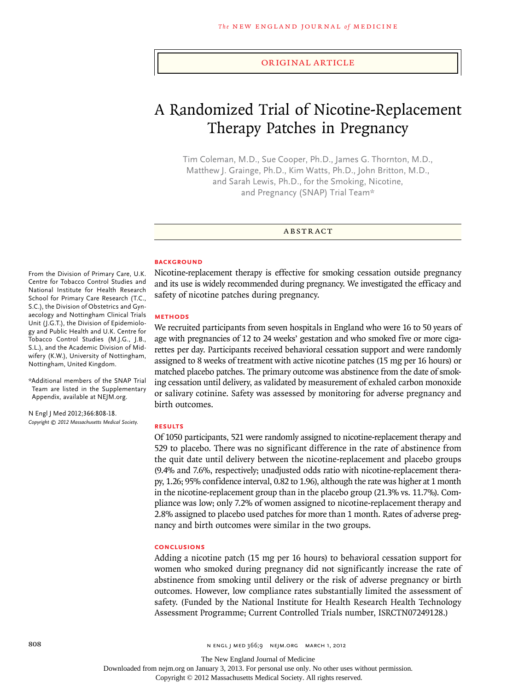#### original article

# A Randomized Trial of Nicotine-Replacement Therapy Patches in Pregnancy

Tim Coleman, M.D., Sue Cooper, Ph.D., James G. Thornton, M.D., Matthew J. Grainge, Ph.D., Kim Watts, Ph.D., John Britton, M.D., and Sarah Lewis, Ph.D., for the Smoking, Nicotine, and Pregnancy (SNAP) Trial Team\*

A BSTRACT

#### **BACKGROUND**

Nicotine-replacement therapy is effective for smoking cessation outside pregnancy and its use is widely recommended during pregnancy. We investigated the efficacy and safety of nicotine patches during pregnancy.

## **METHODS**

We recruited participants from seven hospitals in England who were 16 to 50 years of age with pregnancies of 12 to 24 weeks' gestation and who smoked five or more cigarettes per day. Participants received behavioral cessation support and were randomly assigned to 8 weeks of treatment with active nicotine patches (15 mg per 16 hours) or matched placebo patches. The primary outcome was abstinence from the date of smoking cessation until delivery, as validated by measurement of exhaled carbon monoxide or salivary cotinine. Safety was assessed by monitoring for adverse pregnancy and birth outcomes.

#### **RESULTS**

Of 1050 participants, 521 were randomly assigned to nicotine-replacement therapy and 529 to placebo. There was no significant difference in the rate of abstinence from the quit date until delivery between the nicotine-replacement and placebo groups (9.4% and 7.6%, respectively; unadjusted odds ratio with nicotine-replacement therapy, 1.26; 95% confidence interval, 0.82 to 1.96), although the rate was higher at 1 month in the nicotine-replacement group than in the placebo group (21.3% vs. 11.7%). Compliance was low; only 7.2% of women assigned to nicotine-replacement therapy and 2.8% assigned to placebo used patches for more than 1 month. Rates of adverse pregnancy and birth outcomes were similar in the two groups.

## **CONCLUSIONS**

Adding a nicotine patch (15 mg per 16 hours) to behavioral cessation support for women who smoked during pregnancy did not significantly increase the rate of abstinence from smoking until delivery or the risk of adverse pregnancy or birth outcomes. However, low compliance rates substantially limited the assessment of safety. (Funded by the National Institute for Health Research Health Technology Assessment Programme; Current Controlled Trials number, ISRCTN07249128.)

From the Division of Primary Care, U.K. Centre for Tobacco Control Studies and National Institute for Health Research School for Primary Care Research (T.C., S.C.), the Division of Obstetrics and Gynaecology and Nottingham Clinical Trials Unit (J.G.T.), the Division of Epidemiology and Public Health and U.K. Centre for Tobacco Control Studies (M.J.G., J.B., S.L.), and the Academic Division of Midwifery (K.W.), University of Nottingham, Nottingham, United Kingdom.

\*Additional members of the SNAP Trial Team are listed in the Supplementary Appendix, available at NEJM.org.

N Engl J Med 2012;366:808-18. *Copyright © 2012 Massachusetts Medical Society.*

Downloaded from nejm.org on January 3, 2013. For personal use only. No other uses without permission.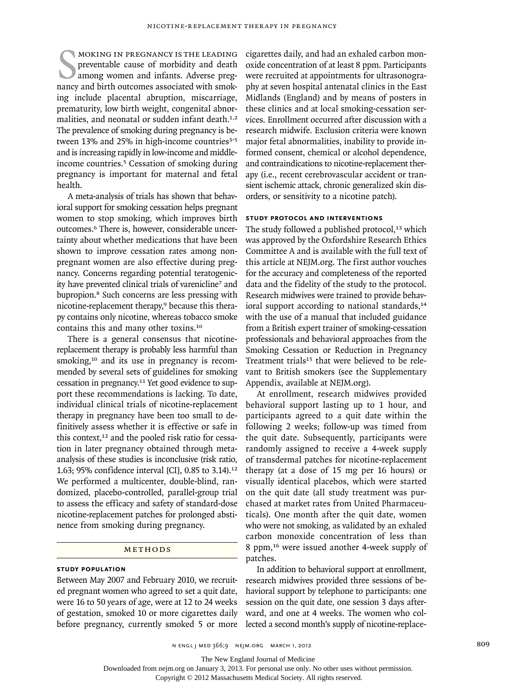MOKING IN PREGNANCY IS THE LEADING<br>preventable cause of morbidity and death<br>among women and infants. Adverse preg-<br>nancy and birth outcomes associated with smokmoking in pregnancy is the leading preventable cause of morbidity and death among women and infants. Adverse preging include placental abruption, miscarriage, prematurity, low birth weight, congenital abnormalities, and neonatal or sudden infant death.<sup>1,2</sup> The prevalence of smoking during pregnancy is between 13% and 25% in high-income countries<sup>3-5</sup> and is increasing rapidly in low-income and middleincome countries.5 Cessation of smoking during pregnancy is important for maternal and fetal health.

A meta-analysis of trials has shown that behavioral support for smoking cessation helps pregnant women to stop smoking, which improves birth outcomes.<sup>6</sup> There is, however, considerable uncertainty about whether medications that have been shown to improve cessation rates among nonpregnant women are also effective during pregnancy. Concerns regarding potential teratogenicity have prevented clinical trials of varenicline<sup>7</sup> and bupropion.8 Such concerns are less pressing with nicotine-replacement therapy,<sup>9</sup> because this therapy contains only nicotine, whereas tobacco smoke contains this and many other toxins.<sup>10</sup>

There is a general consensus that nicotinereplacement therapy is probably less harmful than smoking,<sup>10</sup> and its use in pregnancy is recommended by several sets of guidelines for smoking cessation in pregnancy.11 Yet good evidence to support these recommendations is lacking. To date, individual clinical trials of nicotine-replacement therapy in pregnancy have been too small to definitively assess whether it is effective or safe in this context,<sup>12</sup> and the pooled risk ratio for cessation in later pregnancy obtained through metaanalysis of these studies is inconclusive (risk ratio, 1.63; 95% confidence interval [CI], 0.85 to 3.14).<sup>12</sup> We performed a multicenter, double-blind, randomized, placebo-controlled, parallel-group trial to assess the efficacy and safety of standard-dose nicotine-replacement patches for prolonged abstinence from smoking during pregnancy.

# **METHODS**

## **STUDY POPULATION**

Between May 2007 and February 2010, we recruited pregnant women who agreed to set a quit date, were 16 to 50 years of age, were at 12 to 24 weeks of gestation, smoked 10 or more cigarettes daily before pregnancy, currently smoked 5 or more

cigarettes daily, and had an exhaled carbon monoxide concentration of at least 8 ppm. Participants were recruited at appointments for ultrasonography at seven hospital antenatal clinics in the East Midlands (England) and by means of posters in these clinics and at local smoking-cessation services. Enrollment occurred after discussion with a research midwife. Exclusion criteria were known major fetal abnormalities, inability to provide informed consent, chemical or alcohol dependence, and contraindications to nicotine-replacement therapy (i.e., recent cerebrovascular accident or transient ischemic attack, chronic generalized skin disorders, or sensitivity to a nicotine patch).

## **STUDY PROTOCOL AND INTERVENTIONS**

The study followed a published protocol, $13$  which was approved by the Oxfordshire Research Ethics Committee A and is available with the full text of this article at NEJM.org. The first author vouches for the accuracy and completeness of the reported data and the fidelity of the study to the protocol. Research midwives were trained to provide behavioral support according to national standards,<sup>14</sup> with the use of a manual that included guidance from a British expert trainer of smoking-cessation professionals and behavioral approaches from the Smoking Cessation or Reduction in Pregnancy Treatment trials<sup>15</sup> that were believed to be relevant to British smokers (see the Supplementary Appendix, available at NEJM.org).

At enrollment, research midwives provided behavioral support lasting up to 1 hour, and participants agreed to a quit date within the following 2 weeks; follow-up was timed from the quit date. Subsequently, participants were randomly assigned to receive a 4-week supply of transdermal patches for nicotine-replacement therapy (at a dose of 15 mg per 16 hours) or visually identical placebos, which were started on the quit date (all study treatment was purchased at market rates from United Pharmaceuticals). One month after the quit date, women who were not smoking, as validated by an exhaled carbon monoxide concentration of less than 8 ppm,16 were issued another 4-week supply of patches.

In addition to behavioral support at enrollment, research midwives provided three sessions of behavioral support by telephone to participants: one session on the quit date, one session 3 days afterward, and one at 4 weeks. The women who collected a second month's supply of nicotine-replace-

The New England Journal of Medicine

Downloaded from nejm.org on January 3, 2013. For personal use only. No other uses without permission.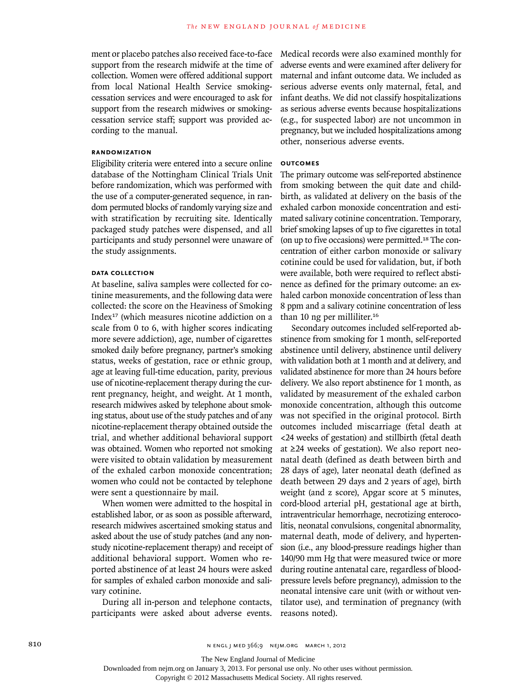ment or placebo patches also received face-to-face support from the research midwife at the time of collection. Women were offered additional support from local National Health Service smokingcessation services and were encouraged to ask for support from the research midwives or smokingcessation service staff; support was provided according to the manual.

## **RANDOMIZATION**

Eligibility criteria were entered into a secure online database of the Nottingham Clinical Trials Unit before randomization, which was performed with the use of a computer-generated sequence, in random permuted blocks of randomly varying size and with stratification by recruiting site. Identically packaged study patches were dispensed, and all participants and study personnel were unaware of the study assignments.

## **DATA COLLECTION**

At baseline, saliva samples were collected for cotinine measurements, and the following data were collected: the score on the Heaviness of Smoking Index17 (which measures nicotine addiction on a scale from 0 to 6, with higher scores indicating more severe addiction), age, number of cigarettes smoked daily before pregnancy, partner's smoking status, weeks of gestation, race or ethnic group, age at leaving full-time education, parity, previous use of nicotine-replacement therapy during the current pregnancy, height, and weight. At 1 month, research midwives asked by telephone about smoking status, about use of the study patches and of any nicotine-replacement therapy obtained outside the trial, and whether additional behavioral support was obtained. Women who reported not smoking were visited to obtain validation by measurement of the exhaled carbon monoxide concentration; women who could not be contacted by telephone were sent a questionnaire by mail.

When women were admitted to the hospital in established labor, or as soon as possible afterward, research midwives ascertained smoking status and asked about the use of study patches (and any nonstudy nicotine-replacement therapy) and receipt of additional behavioral support. Women who reported abstinence of at least 24 hours were asked for samples of exhaled carbon monoxide and salivary cotinine.

During all in-person and telephone contacts, participants were asked about adverse events.

Medical records were also examined monthly for adverse events and were examined after delivery for maternal and infant outcome data. We included as serious adverse events only maternal, fetal, and infant deaths. We did not classify hospitalizations as serious adverse events because hospitalizations (e.g., for suspected labor) are not uncommon in pregnancy, but we included hospitalizations among other, nonserious adverse events.

# **OUTCOMES**

The primary outcome was self-reported abstinence from smoking between the quit date and childbirth, as validated at delivery on the basis of the exhaled carbon monoxide concentration and estimated salivary cotinine concentration. Temporary, brief smoking lapses of up to five cigarettes in total (on up to five occasions) were permitted.18 The concentration of either carbon monoxide or salivary cotinine could be used for validation, but, if both were available, both were required to reflect abstinence as defined for the primary outcome: an exhaled carbon monoxide concentration of less than 8 ppm and a salivary cotinine concentration of less than 10 ng per milliliter.<sup>16</sup>

Secondary outcomes included self-reported abstinence from smoking for 1 month, self-reported abstinence until delivery, abstinence until delivery with validation both at 1 month and at delivery, and validated abstinence for more than 24 hours before delivery. We also report abstinence for 1 month, as validated by measurement of the exhaled carbon monoxide concentration, although this outcome was not specified in the original protocol. Birth outcomes included miscarriage (fetal death at <24 weeks of gestation) and stillbirth (fetal death at ≥24 weeks of gestation). We also report neonatal death (defined as death between birth and 28 days of age), later neonatal death (defined as death between 29 days and 2 years of age), birth weight (and z score), Apgar score at 5 minutes, cord-blood arterial pH, gestational age at birth, intraventricular hemorrhage, necrotizing enterocolitis, neonatal convulsions, congenital abnormality, maternal death, mode of delivery, and hypertension (i.e., any blood-pressure readings higher than 140/90 mm Hg that were measured twice or more during routine antenatal care, regardless of bloodpressure levels before pregnancy), admission to the neonatal intensive care unit (with or without ventilator use), and termination of pregnancy (with reasons noted).

810 **810** N ENGL J MED 366;9 NEJM.ORG MARCH 1, 2012

The New England Journal of Medicine

Downloaded from nejm.org on January 3, 2013. For personal use only. No other uses without permission.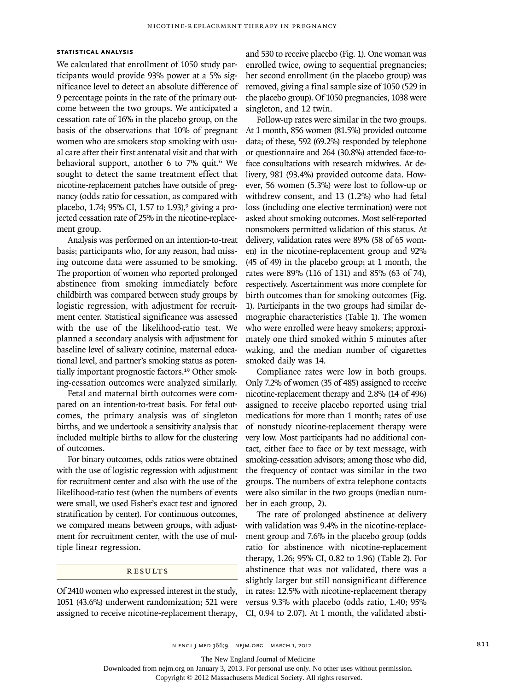## **STATISTICAL ANALYSIS**

We calculated that enrollment of 1050 study participants would provide 93% power at a 5% significance level to detect an absolute difference of 9 percentage points in the rate of the primary outcome between the two groups. We anticipated a cessation rate of 16% in the placebo group, on the basis of the observations that 10% of pregnant women who are smokers stop smoking with usual care after their first antenatal visit and that with behavioral support, another 6 to 7% quit.<sup>6</sup> We sought to detect the same treatment effect that nicotine-replacement patches have outside of pregnancy (odds ratio for cessation, as compared with placebo, 1.74; 95% CI, 1.57 to 1.93),<sup>9</sup> giving a projected cessation rate of 25% in the nicotine-replacement group.

Analysis was performed on an intention-to-treat basis; participants who, for any reason, had missing outcome data were assumed to be smoking. The proportion of women who reported prolonged abstinence from smoking immediately before childbirth was compared between study groups by logistic regression, with adjustment for recruitment center. Statistical significance was assessed with the use of the likelihood-ratio test. We planned a secondary analysis with adjustment for baseline level of salivary cotinine, maternal educational level, and partner's smoking status as potentially important prognostic factors.<sup>19</sup> Other smoking-cessation outcomes were analyzed similarly.

Fetal and maternal birth outcomes were compared on an intention-to-treat basis. For fetal outcomes, the primary analysis was of singleton births, and we undertook a sensitivity analysis that included multiple births to allow for the clustering of outcomes.

For binary outcomes, odds ratios were obtained with the use of logistic regression with adjustment for recruitment center and also with the use of the likelihood-ratio test (when the numbers of events were small, we used Fisher's exact test and ignored stratification by center). For continuous outcomes, we compared means between groups, with adjustment for recruitment center, with the use of multiple linear regression.

## **RESULTS**

Of 2410 women who expressed interest in the study, 1051 (43.6%) underwent randomization; 521 were assigned to receive nicotine-replacement therapy, and 530 to receive placebo (Fig. 1). One woman was enrolled twice, owing to sequential pregnancies; her second enrollment (in the placebo group) was removed, giving a final sample size of 1050 (529 in the placebo group). Of 1050 pregnancies, 1038 were singleton, and 12 twin.

Follow-up rates were similar in the two groups. At 1 month, 856 women (81.5%) provided outcome data; of these, 592 (69.2%) responded by telephone or questionnaire and 264 (30.8%) attended face-toface consultations with research midwives. At delivery, 981 (93.4%) provided outcome data. However, 56 women (5.3%) were lost to follow-up or withdrew consent, and 13 (1.2%) who had fetal loss (including one elective termination) were not asked about smoking outcomes. Most self-reported nonsmokers permitted validation of this status. At delivery, validation rates were 89% (58 of 65 women) in the nicotine-replacement group and 92% (45 of 49) in the placebo group; at 1 month, the rates were 89% (116 of 131) and 85% (63 of 74), respectively. Ascertainment was more complete for birth outcomes than for smoking outcomes (Fig. 1). Participants in the two groups had similar demographic characteristics (Table 1). The women who were enrolled were heavy smokers; approximately one third smoked within 5 minutes after waking, and the median number of cigarettes smoked daily was 14.

Compliance rates were low in both groups. Only 7.2% of women (35 of 485) assigned to receive nicotine-replacement therapy and 2.8% (14 of 496) assigned to receive placebo reported using trial medications for more than 1 month; rates of use of nonstudy nicotine-replacement therapy were very low. Most participants had no additional contact, either face to face or by text message, with smoking-cessation advisors; among those who did, the frequency of contact was similar in the two groups. The numbers of extra telephone contacts were also similar in the two groups (median number in each group, 2).

The rate of prolonged abstinence at delivery with validation was 9.4% in the nicotine-replacement group and 7.6% in the placebo group (odds ratio for abstinence with nicotine-replacement therapy, 1.26; 95% CI, 0.82 to 1.96) (Table 2). For abstinence that was not validated, there was a slightly larger but still nonsignificant difference in rates: 12.5% with nicotine-replacement therapy versus 9.3% with placebo (odds ratio, 1.40; 95% CI, 0.94 to 2.07). At 1 month, the validated absti-

The New England Journal of Medicine

Downloaded from nejm.org on January 3, 2013. For personal use only. No other uses without permission.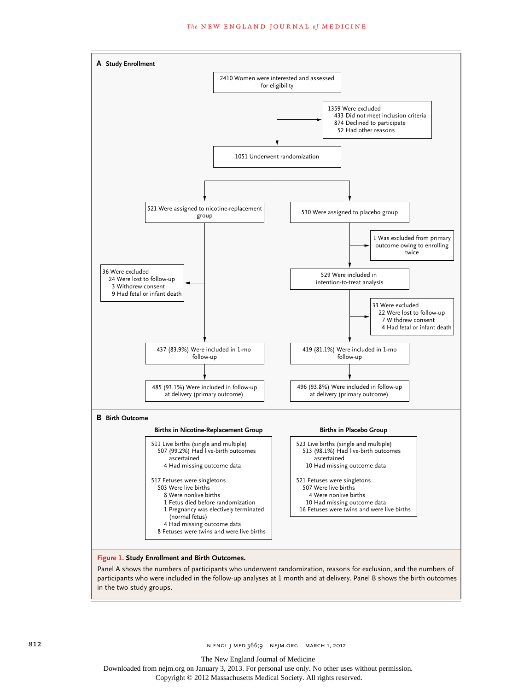#### The NEW ENGLAND JOURNAL of MEDICINE



Panel A shows the numbers of participants who underwent randomization, reasons for exclusion, and the numbers of participants who were included in the follow-up analyses at 1 month and at delivery. Panel B shows the birth outcomes in the two study groups.

The New England Journal of Medicine

Downloaded from nejm.org on January 3, 2013. For personal use only. No other uses without permission.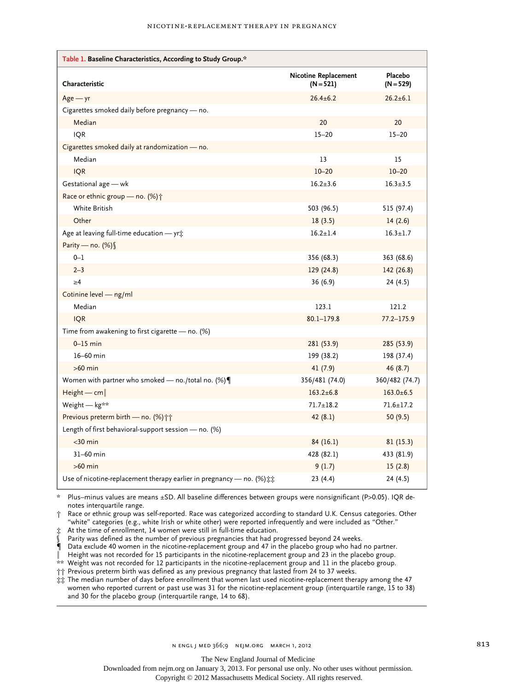|  |  | NICOTINE-REPLACEMENT THERAPY IN PREGNANCY |  |  |
|--|--|-------------------------------------------|--|--|
|--|--|-------------------------------------------|--|--|

| Table 1. Baseline Characteristics, According to Study Group.*                         |                                            |                        |  |
|---------------------------------------------------------------------------------------|--------------------------------------------|------------------------|--|
| Characteristic                                                                        | <b>Nicotine Replacement</b><br>$(N = 521)$ | Placebo<br>$(N = 529)$ |  |
| $Age - yr$                                                                            | $26.4 \pm 6.2$                             | $26.2 \pm 6.1$         |  |
| Cigarettes smoked daily before pregnancy — no.                                        |                                            |                        |  |
| Median                                                                                | 20                                         | 20                     |  |
| <b>IQR</b>                                                                            | $15 - 20$                                  | $15 - 20$              |  |
| Cigarettes smoked daily at randomization - no.                                        |                                            |                        |  |
| Median                                                                                | 13                                         | 15                     |  |
| <b>IQR</b>                                                                            | $10 - 20$                                  | $10 - 20$              |  |
| Gestational age - wk                                                                  | $16.2 + 3.6$                               | $16.3 \pm 3.5$         |  |
| Race or ethnic group - no. (%) +                                                      |                                            |                        |  |
| White British                                                                         | 503 (96.5)                                 | 515 (97.4)             |  |
| Other                                                                                 | 18(3.5)                                    | 14(2.6)                |  |
| Age at leaving full-time education - yr:                                              | $16.2 \pm 1.4$                             | $16.3 \pm 1.7$         |  |
| Parity - no. (%) §                                                                    |                                            |                        |  |
| $0 - 1$                                                                               | 356 (68.3)                                 | 363 (68.6)             |  |
| $2 - 3$                                                                               | 129 (24.8)                                 | 142 (26.8)             |  |
| $\geq 4$                                                                              | 36 (6.9)                                   | 24(4.5)                |  |
| Cotinine level - ng/ml                                                                |                                            |                        |  |
| Median                                                                                | 123.1                                      | 121.2                  |  |
| <b>IQR</b>                                                                            | $80.1 - 179.8$                             | $77.2 - 175.9$         |  |
| Time from awakening to first cigarette - no. (%)                                      |                                            |                        |  |
| $0-15$ min                                                                            | 281 (53.9)                                 | 285 (53.9)             |  |
| 16-60 min                                                                             | 199 (38.2)                                 | 198 (37.4)             |  |
| $>60$ min                                                                             | 41(7.9)                                    | 46(8.7)                |  |
| Women with partner who smoked - no./total no. $(\%) \P$                               | 356/481 (74.0)                             | 360/482 (74.7)         |  |
| $Height - cm$                                                                         | $163.2 \pm 6.8$                            | $163.0 \pm 6.5$        |  |
| Weight - kg**                                                                         | $71.7 \pm 18.2$                            | $71.6 \pm 17.2$        |  |
| Previous preterm birth - no. (%)                                                      | 42(8.1)                                    | 50(9.5)                |  |
| Length of first behavioral-support session - no. (%)                                  |                                            |                        |  |
| $<$ 30 min                                                                            | 84 (16.1)                                  | 81(15.3)               |  |
| $31-60$ min                                                                           | 428 (82.1)                                 | 433 (81.9)             |  |
| $>60$ min                                                                             | 9(1.7)                                     | 15(2.8)                |  |
| Use of nicotine-replacement therapy earlier in pregnancy - no. (%) $\ddagger\ddagger$ | 23 (4.4)                                   | 24 (4.5)               |  |

\* Plus–minus values are means ±SD. All baseline differences between groups were nonsignificant (P>0.05). IQR denotes interquartile range.

† Race or ethnic group was self-reported. Race was categorized according to standard U.K. Census categories. Other "white" categories (e.g., white Irish or white other) were reported infrequently and were included as "Other."

‡ At the time of enrollment, 14 women were still in full-time education.

Parity was defined as the number of previous pregnancies that had progressed beyond 24 weeks.

¶ Data exclude 40 women in the nicotine-replacement group and 47 in the placebo group who had no partner.

Height was not recorded for 15 participants in the nicotine-replacement group and 23 in the placebo group.

\*\* Weight was not recorded for 12 participants in the nicotine-replacement group and 11 in the placebo group.

†† Previous preterm birth was defined as any previous pregnancy that lasted from 24 to 37 weeks.

‡‡ The median number of days before enrollment that women last used nicotine-replacement therapy among the 47 women who reported current or past use was 31 for the nicotine-replacement group (interquartile range, 15 to 38) and 30 for the placebo group (interquartile range, 14 to 68).

The New England Journal of Medicine

Downloaded from nejm.org on January 3, 2013. For personal use only. No other uses without permission.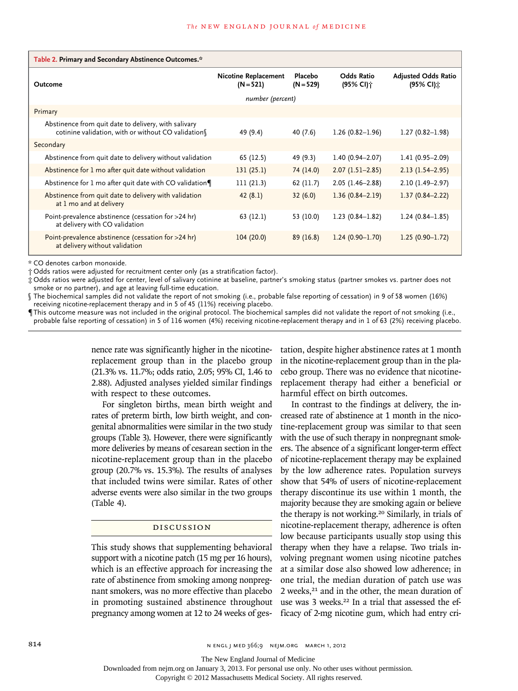|         | Table 2. Primary and Secondary Abstinence Outcomes.*                                                       |                                            |                        |                                |                                         |
|---------|------------------------------------------------------------------------------------------------------------|--------------------------------------------|------------------------|--------------------------------|-----------------------------------------|
| Outcome |                                                                                                            | <b>Nicotine Replacement</b><br>$(N = 521)$ | Placebo<br>$(N = 529)$ | <b>Odds Ratio</b><br>(95% CI)† | <b>Adjusted Odds Ratio</b><br>(95% CI): |
|         |                                                                                                            | number (percent)                           |                        |                                |                                         |
|         | Primary                                                                                                    |                                            |                        |                                |                                         |
|         | Abstinence from quit date to delivery, with salivary<br>cotinine validation, with or without CO validation | 49 (9.4)                                   | 40 (7.6)               | $1.26(0.82 - 1.96)$            | $1.27(0.82 - 1.98)$                     |
|         | Secondary                                                                                                  |                                            |                        |                                |                                         |
|         | Abstinence from quit date to delivery without validation                                                   | 65 (12.5)                                  | 49 (9.3)               | $1.40(0.94 - 2.07)$            | $1.41(0.95 - 2.09)$                     |
|         | Abstinence for 1 mo after quit date without validation                                                     | 131(25.1)                                  | 74 (14.0)              | $2.07(1.51 - 2.85)$            | $2.13(1.54 - 2.95)$                     |
|         | Abstinence for 1 mo after quit date with CO validation                                                     | 111(21.3)                                  | 62 (11.7)              | $2.05(1.46-2.88)$              | $2.10(1.49 - 2.97)$                     |
|         | Abstinence from quit date to delivery with validation<br>at 1 mo and at delivery                           | 42(8.1)                                    | 32(6.0)                | $1.36(0.84 - 2.19)$            | $1.37(0.84 - 2.22)$                     |
|         | Point-prevalence abstinence (cessation for >24 hr)<br>at delivery with CO validation                       | 63 (12.1)                                  | 53 (10.0)              | $1.23(0.84 - 1.82)$            | $1.24(0.84 - 1.85)$                     |
|         | Point-prevalence abstinence (cessation for >24 hr)<br>at delivery without validation                       | 104(20.0)                                  | 89(16.8)               | $1.24(0.90 - 1.70)$            | $1.25(0.90 - 1.72)$                     |

\* CO denotes carbon monoxide.

† Odds ratios were adjusted for recruitment center only (as a stratification factor).

‡ Odds ratios were adjusted for center, level of salivary cotinine at baseline, partner's smoking status (partner smokes vs. partner does not smoke or no partner), and age at leaving full-time education.

§ The biochemical samples did not validate the report of not smoking (i.e., probable false reporting of cessation) in 9 of 58 women (16%) receiving nicotine-replacement therapy and in 5 of 45 (11%) receiving placebo.

¶This outcome measure was not included in the original protocol. The biochemical samples did not validate the report of not smoking (i.e., probable false reporting of cessation) in 5 of 116 women (4%) receiving nicotine-replacement therapy and in 1 of 63 (2%) receiving placebo.

> nence rate was significantly higher in the nicotinereplacement group than in the placebo group (21.3% vs. 11.7%; odds ratio, 2.05; 95% CI, 1.46 to 2.88). Adjusted analyses yielded similar findings with respect to these outcomes.

> For singleton births, mean birth weight and rates of preterm birth, low birth weight, and congenital abnormalities were similar in the two study groups (Table 3). However, there were significantly more deliveries by means of cesarean section in the nicotine-replacement group than in the placebo group (20.7% vs. 15.3%). The results of analyses that included twins were similar. Rates of other adverse events were also similar in the two groups (Table 4).

## DISCUSSION

This study shows that supplementing behavioral support with a nicotine patch (15 mg per 16 hours), which is an effective approach for increasing the rate of abstinence from smoking among nonpregnant smokers, was no more effective than placebo in promoting sustained abstinence throughout pregnancy among women at 12 to 24 weeks of gestation, despite higher abstinence rates at 1 month in the nicotine-replacement group than in the placebo group. There was no evidence that nicotinereplacement therapy had either a beneficial or harmful effect on birth outcomes.

In contrast to the findings at delivery, the increased rate of abstinence at 1 month in the nicotine-replacement group was similar to that seen with the use of such therapy in nonpregnant smokers. The absence of a significant longer-term effect of nicotine-replacement therapy may be explained by the low adherence rates. Population surveys show that 54% of users of nicotine-replacement therapy discontinue its use within 1 month, the majority because they are smoking again or believe the therapy is not working.20 Similarly, in trials of nicotine-replacement therapy, adherence is often low because participants usually stop using this therapy when they have a relapse. Two trials involving pregnant women using nicotine patches at a similar dose also showed low adherence; in one trial, the median duration of patch use was 2 weeks,<sup>21</sup> and in the other, the mean duration of use was 3 weeks.<sup>22</sup> In a trial that assessed the efficacy of 2-mg nicotine gum, which had entry cri-

814 **814** N ENGL | MED 366;9 NEJM.ORG MARCH 1, 2012

The New England Journal of Medicine

Downloaded from nejm.org on January 3, 2013. For personal use only. No other uses without permission.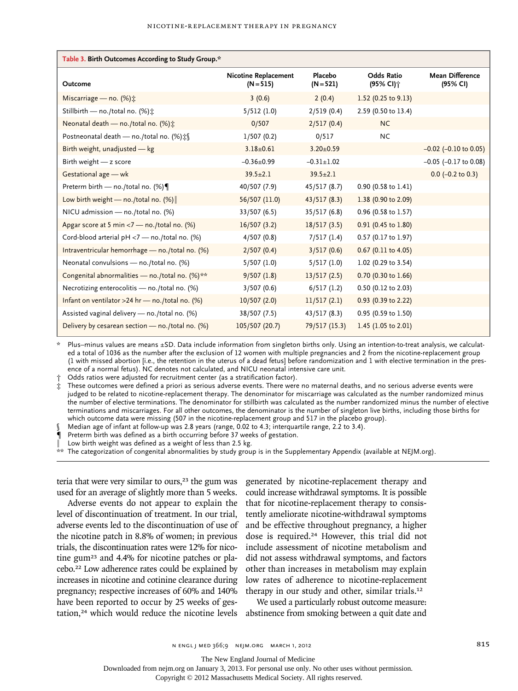| Table 3. Birth Outcomes According to Study Group.* |                                            |                        |                                 |                                    |
|----------------------------------------------------|--------------------------------------------|------------------------|---------------------------------|------------------------------------|
| Outcome                                            | <b>Nicotine Replacement</b><br>$(N = 515)$ | Placebo<br>$(N = 521)$ | <b>Odds Ratio</b><br>(95% CI) † | <b>Mean Difference</b><br>(95% CI) |
| Miscarriage - no. $(\%)$ :                         | 3(0.6)                                     | 2(0.4)                 | 1.52 (0.25 to $9.13$ )          |                                    |
| Stillbirth - no./total no. (%):                    | 5/512(1.0)                                 | 2/519(0.4)             | 2.59 (0.50 to 13.4)             |                                    |
| Neonatal death - no./total no. (%):                | 0/507                                      | 2/517(0.4)             | <b>NC</b>                       |                                    |
| Postneonatal death - no./total no. (%) ‡§          | 1/507(0.2)                                 | 0/517                  | <b>NC</b>                       |                                    |
| Birth weight, unadjusted - kg                      | $3.18 \pm 0.61$                            | $3.20 \pm 0.59$        |                                 | $-0.02$ ( $-0.10$ to 0.05)         |
| Birth weight $-z$ score                            | $-0.36 \pm 0.99$                           | $-0.31 \pm 1.02$       |                                 | $-0.05$ ( $-0.17$ to 0.08)         |
| Gestational age - wk                               | $39.5 \pm 2.1$                             | $39.5 \pm 2.1$         |                                 | $0.0$ (-0.2 to 0.3)                |
| Preterm birth - no./total no. (%)                  | 40/507 (7.9)                               | 45/517(8.7)            | 0.90 (0.58 to 1.41)             |                                    |
| Low birth weight — no./total no. $(\%)$            | 56/507 (11.0)                              | 43/517(8.3)            | 1.38 (0.90 to 2.09)             |                                    |
| NICU admission - no./total no. (%)                 | 33/507(6.5)                                | 35/517(6.8)            | 0.96 (0.58 to 1.57)             |                                    |
| Apgar score at 5 min <7 - no./total no. (%)        | 16/507(3.2)                                | 18/517(3.5)            | 0.91 (0.45 to 1.80)             |                                    |
| Cord-blood arterial pH <7 - no./total no. (%)      | 4/507(0.8)                                 | 7/517(1.4)             | 0.57 (0.17 to 1.97)             |                                    |
| Intraventricular hemorrhage - no./total no. (%)    | 2/507(0.4)                                 | 3/517(0.6)             | $0.67$ (0.11 to 4.05)           |                                    |
| Neonatal convulsions - no./total no. (%)           | 5/507(1.0)                                 | 5/517(1.0)             | 1.02 (0.29 to 3.54)             |                                    |
| Congenital abnormalities - no./total no. (%)**     | 9/507(1.8)                                 | 13/517(2.5)            | 0.70 (0.30 to 1.66)             |                                    |
| Necrotizing enterocolitis - no./total no. (%)      | 3/507(0.6)                                 | 6/517(1.2)             | 0.50 (0.12 to 2.03)             |                                    |
| Infant on ventilator >24 hr - no./total no. $(\%)$ | 10/507(2.0)                                | 11/517(2.1)            | 0.93 (0.39 to 2.22)             |                                    |
| Assisted vaginal delivery — no./total no. (%)      | 38/507 (7.5)                               | 43/517 (8.3)           | 0.95 (0.59 to 1.50)             |                                    |
| Delivery by cesarean section - no./total no. (%)   | 105/507 (20.7)                             | 79/517 (15.3)          | 1.45 (1.05 to 2.01)             |                                    |

\* Plus–minus values are means ±SD. Data include information from singleton births only. Using an intention-to-treat analysis, we calculated a total of 1036 as the number after the exclusion of 12 women with multiple pregnancies and 2 from the nicotine-replacement group (1 with missed abortion [i.e., the retention in the uterus of a dead fetus] before randomization and 1 with elective termination in the presence of a normal fetus). NC denotes not calculated, and NICU neonatal intensive care unit.

Odds ratios were adjusted for recruitment center (as a stratification factor).

These outcomes were defined a priori as serious adverse events. There were no maternal deaths, and no serious adverse events were judged to be related to nicotine-replacement therapy. The denominator for miscarriage was calculated as the number randomized minus the number of elective terminations. The denominator for stillbirth was calculated as the number randomized minus the number of elective terminations and miscarriages. For all other outcomes, the denominator is the number of singleton live births, including those births for which outcome data were missing (507 in the nicotine-replacement group and 517 in the placebo group).

§ Median age of infant at follow-up was 2.8 years (range, 0.02 to 4.3; interquartile range, 2.2 to 3.4).

¶ Preterm birth was defined as a birth occurring before 37 weeks of gestation.

Low birth weight was defined as a weight of less than 2.5 kg.

\*\* The categorization of congenital abnormalities by study group is in the Supplementary Appendix (available at NEJM.org).

teria that were very similar to ours, $23$  the gum was used for an average of slightly more than 5 weeks.

Adverse events do not appear to explain the level of discontinuation of treatment. In our trial, adverse events led to the discontinuation of use of the nicotine patch in 8.8% of women; in previous trials, the discontinuation rates were 12% for nicotine gum23 and 4.4% for nicotine patches or placebo.22 Low adherence rates could be explained by increases in nicotine and cotinine clearance during pregnancy; respective increases of 60% and 140% have been reported to occur by 25 weeks of gestation,<sup>24</sup> which would reduce the nicotine levels abstinence from smoking between a quit date and

generated by nicotine-replacement therapy and could increase withdrawal symptoms. It is possible that for nicotine-replacement therapy to consistently ameliorate nicotine-withdrawal symptoms and be effective throughout pregnancy, a higher dose is required.24 However, this trial did not include assessment of nicotine metabolism and did not assess withdrawal symptoms, and factors other than increases in metabolism may explain low rates of adherence to nicotine-replacement therapy in our study and other, similar trials.<sup>12</sup>

We used a particularly robust outcome measure:

The New England Journal of Medicine

Downloaded from nejm.org on January 3, 2013. For personal use only. No other uses without permission.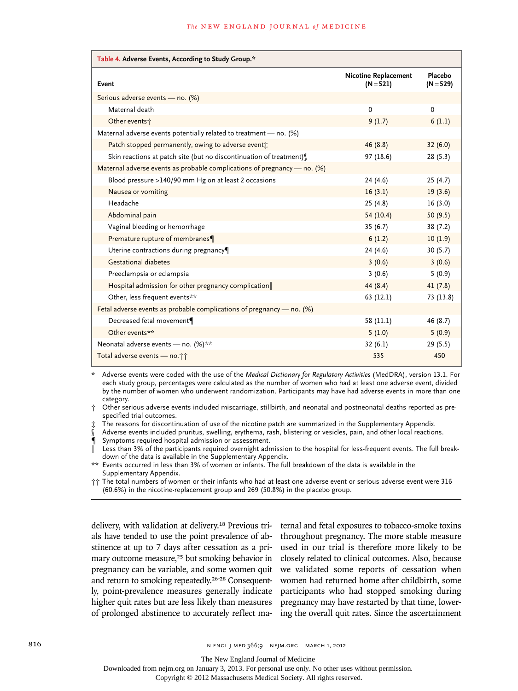| Table 4. Adverse Events, According to Study Group.*                      |                                     |                        |  |  |
|--------------------------------------------------------------------------|-------------------------------------|------------------------|--|--|
| Event                                                                    | Nicotine Replacement<br>$(N = 521)$ | Placebo<br>$(N = 529)$ |  |  |
| Serious adverse events - no. (%)                                         |                                     |                        |  |  |
| Maternal death                                                           | 0                                   | $\Omega$               |  |  |
| Other events <sup>+</sup>                                                | 9(1.7)                              | 6(1.1)                 |  |  |
| Maternal adverse events potentially related to treatment $-$ no. (%)     |                                     |                        |  |  |
| Patch stopped permanently, owing to adverse event:                       | 46(8.8)                             | 32(6.0)                |  |  |
| Skin reactions at patch site (but no discontinuation of treatment) (     | 97 (18.6)                           | 28(5.3)                |  |  |
| Maternal adverse events as probable complications of pregnancy - no. (%) |                                     |                        |  |  |
| Blood pressure >140/90 mm Hg on at least 2 occasions                     | 24(4.6)                             | 25(4.7)                |  |  |
| Nausea or vomiting                                                       | 16(3.1)                             | 19(3.6)                |  |  |
| Headache                                                                 | 25(4.8)                             | 16(3.0)                |  |  |
| Abdominal pain                                                           | 54(10.4)                            | 50(9.5)                |  |  |
| Vaginal bleeding or hemorrhage                                           | 35(6.7)                             | 38 (7.2)               |  |  |
| Premature rupture of membranes¶                                          | 6(1.2)                              | 10(1.9)                |  |  |
| Uterine contractions during pregnancy                                    | 24(4.6)                             | 30(5.7)                |  |  |
| <b>Gestational diabetes</b>                                              | 3(0.6)                              | 3(0.6)                 |  |  |
| Preeclampsia or eclampsia                                                | 3(0.6)                              | 5(0.9)                 |  |  |
| Hospital admission for other pregnancy complication                      | 44(8.4)                             | 41(7.8)                |  |  |
| Other, less frequent events**                                            | 63(12.1)                            | 73 (13.8)              |  |  |
| Fetal adverse events as probable complications of pregnancy — no. (%)    |                                     |                        |  |  |
| Decreased fetal movement¶                                                | 58 (11.1)                           | 46 (8.7)               |  |  |
| Other events**                                                           | 5(1.0)                              | 5(0.9)                 |  |  |
| Neonatal adverse events - no. (%)**                                      | 32(6.1)                             | 29 (5.5)               |  |  |
| Total adverse events - no. ji                                            | 535                                 | 450                    |  |  |

\* Adverse events were coded with the use of the *Medical Dictionary for Regulatory Activities* (MedDRA), version 13.1. For each study group, percentages were calculated as the number of women who had at least one adverse event, divided by the number of women who underwent randomization. Participants may have had adverse events in more than one category.

† Other serious adverse events included miscarriage, stillbirth, and neonatal and postneonatal deaths reported as prespecified trial outcomes.

‡ The reasons for discontinuation of use of the nicotine patch are summarized in the Supplementary Appendix.

Adverse events included pruritus, swelling, erythema, rash, blistering or vesicles, pain, and other local reactions.

¶ Symptoms required hospital admission or assessment.

Less than 3% of the participants required overnight admission to the hospital for less-frequent events. The full breakdown of the data is available in the Supplementary Appendix.

\*\* Events occurred in less than 3% of women or infants. The full breakdown of the data is available in the Supplementary Appendix.

†† The total numbers of women or their infants who had at least one adverse event or serious adverse event were 316 (60.6%) in the nicotine-replacement group and 269 (50.8%) in the placebo group.

delivery, with validation at delivery.<sup>18</sup> Previous trials have tended to use the point prevalence of abstinence at up to 7 days after cessation as a primary outcome measure,<sup>25</sup> but smoking behavior in pregnancy can be variable, and some women quit and return to smoking repeatedly.26-28 Consequently, point-prevalence measures generally indicate higher quit rates but are less likely than measures of prolonged abstinence to accurately reflect ma-

ternal and fetal exposures to tobacco-smoke toxins throughout pregnancy. The more stable measure used in our trial is therefore more likely to be closely related to clinical outcomes. Also, because we validated some reports of cessation when women had returned home after childbirth, some participants who had stopped smoking during pregnancy may have restarted by that time, lowering the overall quit rates. Since the ascertainment

The New England Journal of Medicine

Downloaded from nejm.org on January 3, 2013. For personal use only. No other uses without permission.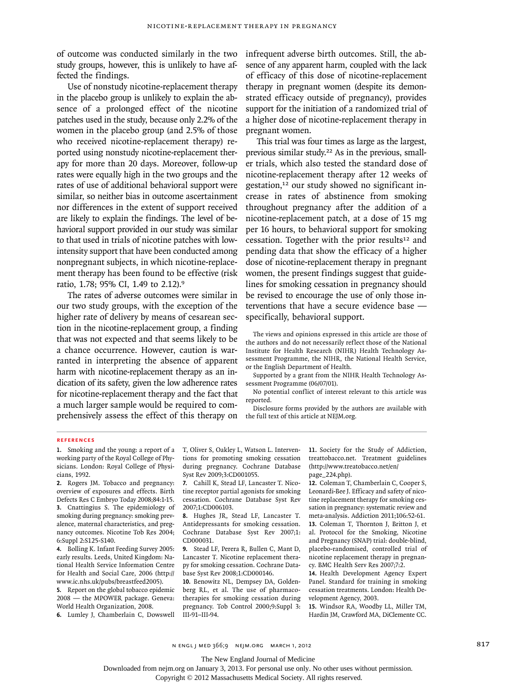of outcome was conducted similarly in the two study groups, however, this is unlikely to have affected the findings.

Use of nonstudy nicotine-replacement therapy in the placebo group is unlikely to explain the absence of a prolonged effect of the nicotine patches used in the study, because only 2.2% of the women in the placebo group (and 2.5% of those who received nicotine-replacement therapy) reported using nonstudy nicotine-replacement therapy for more than 20 days. Moreover, follow-up rates were equally high in the two groups and the rates of use of additional behavioral support were similar, so neither bias in outcome ascertainment nor differences in the extent of support received are likely to explain the findings. The level of behavioral support provided in our study was similar to that used in trials of nicotine patches with lowintensity support that have been conducted among nonpregnant subjects, in which nicotine-replacement therapy has been found to be effective (risk ratio, 1.78; 95% CI, 1.49 to 2.12).<sup>9</sup>

The rates of adverse outcomes were similar in our two study groups, with the exception of the higher rate of delivery by means of cesarean section in the nicotine-replacement group, a finding that was not expected and that seems likely to be a chance occurrence. However, caution is warranted in interpreting the absence of apparent harm with nicotine-replacement therapy as an indication of its safety, given the low adherence rates for nicotine-replacement therapy and the fact that a much larger sample would be required to comprehensively assess the effect of this therapy on

infrequent adverse birth outcomes. Still, the absence of any apparent harm, coupled with the lack of efficacy of this dose of nicotine-replacement therapy in pregnant women (despite its demonstrated efficacy outside of pregnancy), provides support for the initiation of a randomized trial of a higher dose of nicotine-replacement therapy in pregnant women.

This trial was four times as large as the largest, previous similar study.22 As in the previous, smaller trials, which also tested the standard dose of nicotine-replacement therapy after 12 weeks of gestation,12 our study showed no significant increase in rates of abstinence from smoking throughout pregnancy after the addition of a nicotine-replacement patch, at a dose of 15 mg per 16 hours, to behavioral support for smoking cessation. Together with the prior results<sup>12</sup> and pending data that show the efficacy of a higher dose of nicotine-replacement therapy in pregnant women, the present findings suggest that guidelines for smoking cessation in pregnancy should be revised to encourage the use of only those interventions that have a secure evidence base specifically, behavioral support.

The views and opinions expressed in this article are those of the authors and do not necessarily reflect those of the National Institute for Health Research (NIHR) Health Technology Assessment Programme, the NIHR, the National Health Service, or the English Department of Health.

Supported by a grant from the NIHR Health Technology Assessment Programme (06/07/01).

No potential conflict of interest relevant to this article was reported.

Disclosure forms provided by the authors are available with the full text of this article at NEJM.org.

## **References**

**1.** Smoking and the young: a report of a working party of the Royal College of Physicians. London: Royal College of Physicians, 1992.

**2.** Rogers JM. Tobacco and pregnancy: overview of exposures and effects. Birth Defects Res C Embryo Today 2008;84:1-15. **3.** Cnattingius S. The epidemiology of smoking during pregnancy: smoking prevalence, maternal characteristics, and pregnancy outcomes. Nicotine Tob Res 2004; 6:Suppl 2:S125-S140.

**4.** Bolling K. Infant Feeding Survey 2005: early results. Leeds, United Kingdom: National Health Service Information Centre for Health and Social Care, 2006 (http:// www.ic.nhs.uk/pubs/breastfeed2005).

**5.** Report on the global tobacco epidemic 2008 — the MPOWER package. Geneva: World Health Organization, 2008.

**6.** Lumley J, Chamberlain C, Dowswell

T, Oliver S, Oakley L, Watson L. Interventions for promoting smoking cessation during pregnancy. Cochrane Database Syst Rev 2009;3:CD001055.

**7.** Cahill K, Stead LF, Lancaster T. Nicotine receptor partial agonists for smoking cessation. Cochrane Database Syst Rev 2007;1:CD006103.

**8.** Hughes JR, Stead LF, Lancaster T. Antidepressants for smoking cessation. Cochrane Database Syst Rev 2007;1: CD000031.

**9.** Stead LF, Perera R, Bullen C, Mant D, Lancaster T. Nicotine replacement therapy for smoking cessation. Cochrane Database Syst Rev 2008;1:CD000146.

**10.** Benowitz NL, Dempsey DA, Goldenberg RL, et al. The use of pharmacotherapies for smoking cessation during pregnancy. Tob Control 2000;9:Suppl 3: III-91–III-94.

**11.** Society for the Study of Addiction, treattobacco.net. Treatment guidelines (http://www.treatobacco.net/en/ page\_224.php).

**12.** Coleman T, Chamberlain C, Cooper S, Leonardi-Bee J. Efficacy and safety of nicotine replacement therapy for smoking cessation in pregnancy: systematic review and meta-analysis. Addiction 2011;106:52-61. **13.** Coleman T, Thornton J, Britton J, et al. Protocol for the Smoking, Nicotine and Pregnancy (SNAP) trial: double-blind, placebo-randomised, controlled trial of nicotine replacement therapy in pregnancy. BMC Health Serv Res 2007;7:2.

**14.** Health Development Agency Expert Panel. Standard for training in smoking cessation treatments. London: Health Development Agency, 2003.

**15.** Windsor RA, Woodby LL, Miller TM, Hardin JM, Crawford MA, DiClemente CC.

n engl j med 366;9 nejm.org march 1, 2012 817

The New England Journal of Medicine

Downloaded from nejm.org on January 3, 2013. For personal use only. No other uses without permission.